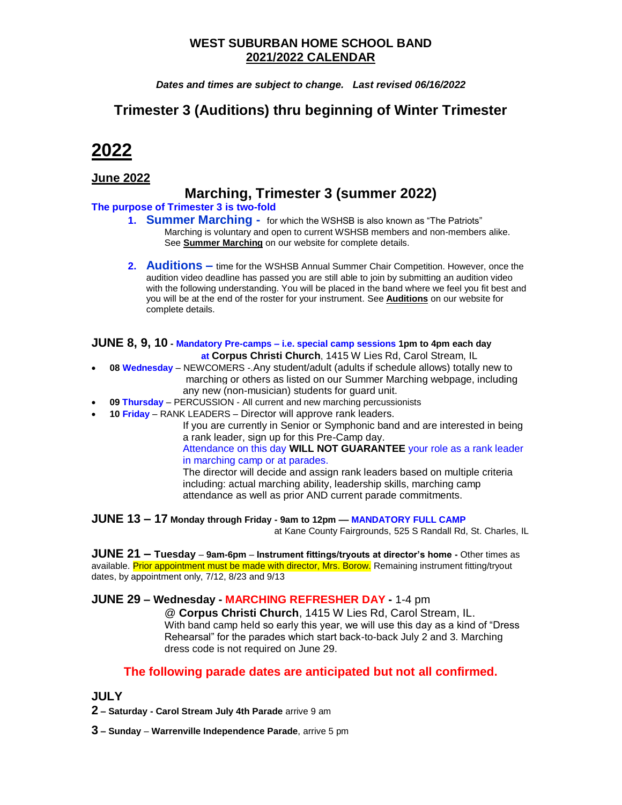### **WEST SUBURBAN HOME SCHOOL BAND 2021/2022 CALENDAR**

*Dates and times are subject to change. Last revised 06/16/2022*

# **Trimester 3 (Auditions) thru beginning of Winter Trimester**

# **2022**

### **June 2022**

## **Marching, Trimester 3 (summer 2022)**

#### **The purpose of Trimester 3 is two-fold**

- **1. Summer Marching** for which the WSHSB is also known as "The Patriots" Marching is voluntary and open to current WSHSB members and non-members alike. See **Summer Marching** on our website for complete details.
- **2. Auditions –** time for the WSHSB Annual Summer Chair Competition. However, once the audition video deadline has passed you are still able to join by submitting an audition video with the following understanding. You will be placed in the band where we feel you fit best and you will be at the end of the roster for your instrument. See **Auditions** on our website for complete details.

#### **JUNE 8, 9, 10 - Mandatory Pre-camps – i.e. special camp sessions 1pm to 4pm each day at Corpus Christi Church**, 1415 W Lies Rd, Carol Stream, IL

- **08 Wednesday** NEWCOMERS -.Any student/adult (adults if schedule allows) totally new to marching or others as listed on our Summer Marching webpage, including any new (non-musician) students for guard unit.
- **09 Thursday** PERCUSSION All current and new marching percussionists
- **10 Friday** RANK LEADERS Director will approve rank leaders.

If you are currently in Senior or Symphonic band and are interested in being a rank leader, sign up for this Pre-Camp day.

Attendance on this day **WILL NOT GUARANTEE** your role as a rank leader in marching camp or at parades.

The director will decide and assign rank leaders based on multiple criteria including: actual marching ability, leadership skills, marching camp attendance as well as prior AND current parade commitments.

**JUNE 13 – 17 Monday through Friday - 9am to 12pm –– MANDATORY FULL CAMP**

at Kane County Fairgrounds, 525 S Randall Rd, St. Charles, IL

**JUNE 21 – Tuesday** – **9am-6pm** – **Instrument fittings/tryouts at director's home -** Other times as available. Prior appointment must be made with director, Mrs. Borow. Remaining instrument fitting/tryout dates, by appointment only, 7/12, 8/23 and 9/13

### **JUNE 29 – Wednesday - MARCHING REFRESHER DAY -** 1-4 pm

@ **Corpus Christi Church**, 1415 W Lies Rd, Carol Stream, IL. With band camp held so early this year, we will use this day as a kind of "Dress Rehearsal" for the parades which start back-to-back July 2 and 3. Marching dress code is not required on June 29.

### **The following parade dates are anticipated but not all confirmed.**

### **JULY**

**2 – Saturday - Carol Stream July 4th Parade** arrive 9 am

**3 – Sunday** – **Warrenville Independence Parade**, arrive 5 pm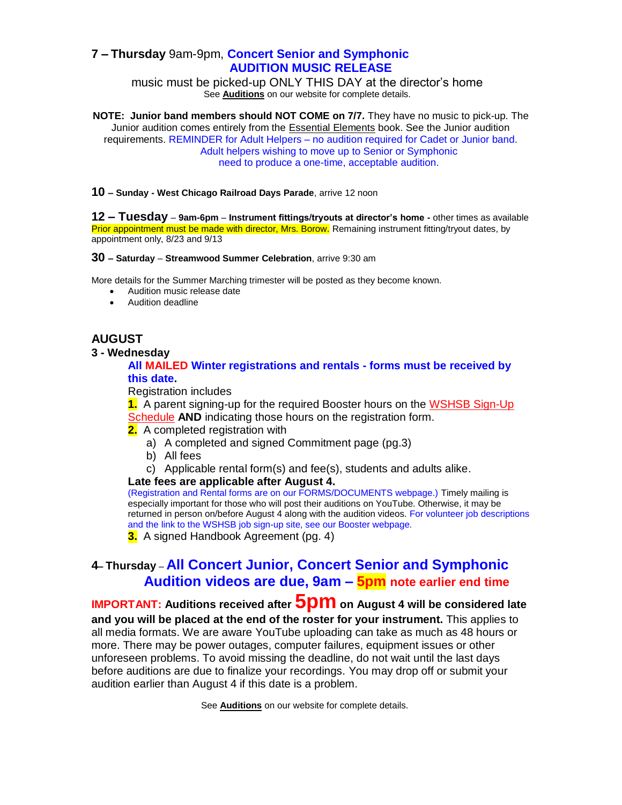### **7 – Thursday** 9am-9pm, **Concert Senior and Symphonic AUDITION MUSIC RELEASE**

music must be picked-up ONLY THIS DAY at the director's home See **Auditions** on our website for complete details.

**NOTE: Junior band members should NOT COME on 7/7.** They have no music to pick-up. The Junior audition comes entirely from the **Essential Elements book**. See the Junior audition requirements. REMINDER for Adult Helpers – no audition required for Cadet or Junior band. Adult helpers wishing to move up to Senior or Symphonic need to produce a one-time, acceptable audition.

#### **10 – Sunday - West Chicago Railroad Days Parade**, arrive 12 noon

**12 – Tuesday** – **9am-6pm** – **Instrument fittings/tryouts at director's home -** other times as available Prior appointment must be made with director, Mrs. Borow. Remaining instrument fitting/tryout dates, by appointment only, 8/23 and 9/13

#### **30 – Saturday** – **Streamwood Summer Celebration**, arrive 9:30 am

More details for the Summer Marching trimester will be posted as they become known.

- Audition music release date
- Audition deadline

### **AUGUST**

#### **3 - Wednesday**

#### **All MAILED Winter registrations and rentals - forms must be received by this date.**

Registration includes

**1.** A parent signing-up for the required Booster hours on the [WSHSB Sign-Up](http://signupschedule.com/wshsb)  [Schedule](http://signupschedule.com/wshsb) **AND** indicating those hours on the registration form.

- **2.** A completed registration with
	- a) A completed and signed Commitment page (pg.3)
	- b) All fees
	- c) Applicable rental form(s) and fee(s), students and adults alike.

#### **Late fees are applicable after August 4.**

(Registration and Rental forms are on our FORMS/DOCUMENTS webpage.) Timely mailing is especially important for those who will post their auditions on YouTube. Otherwise, it may be returned in person on/before August 4 along with the audition videos. For volunteer job descriptions and the link to the WSHSB job sign-up site, see our Booster webpage.

**3.** A signed Handbook Agreement (pg. 4)

### **4– Thursday** – **All Concert Junior, Concert Senior and Symphonic Audition videos are due, 9am – 5pm note earlier end time**

**IMPORTANT: Auditions received after 5pm on August 4 will be considered late and you will be placed at the end of the roster for your instrument.** This applies to all media formats. We are aware YouTube uploading can take as much as 48 hours or more. There may be power outages, computer failures, equipment issues or other unforeseen problems. To avoid missing the deadline, do not wait until the last days before auditions are due to finalize your recordings. You may drop off or submit your audition earlier than August 4 if this date is a problem.

See **Auditions** on our website for complete details.